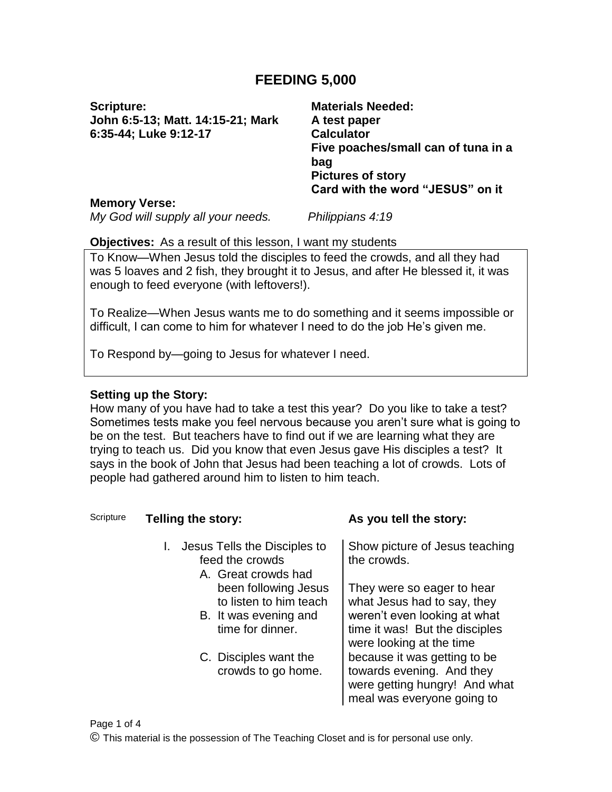# **FEEDING 5,000**

**Scripture: John 6:5-13; Matt. 14:15-21; Mark 6:35-44; Luke 9:12-17**

**Materials Needed: A test paper Calculator Five poaches/small can of tuna in a bag Pictures of story Card with the word "JESUS" on it**

#### **Memory Verse:**

*My God will supply all your needs. Philippians 4:19*

#### **Objectives:** As a result of this lesson, I want my students

To Know—When Jesus told the disciples to feed the crowds, and all they had was 5 loaves and 2 fish, they brought it to Jesus, and after He blessed it, it was enough to feed everyone (with leftovers!).

To Realize—When Jesus wants me to do something and it seems impossible or difficult, I can come to him for whatever I need to do the job He's given me.

To Respond by—going to Jesus for whatever I need.

### **Setting up the Story:**

How many of you have had to take a test this year? Do you like to take a test? Sometimes tests make you feel nervous because you aren't sure what is going to be on the test. But teachers have to find out if we are learning what they are trying to teach us. Did you know that even Jesus gave His disciples a test? It says in the book of John that Jesus had been teaching a lot of crowds. Lots of people had gathered around him to listen to him teach.

| Scripture | Telling the story:                                                                          | As you tell the story:                                                                                                                                  |
|-----------|---------------------------------------------------------------------------------------------|---------------------------------------------------------------------------------------------------------------------------------------------------------|
|           | I. Jesus Tells the Disciples to<br>feed the crowds<br>A. Great crowds had                   | Show picture of Jesus teaching<br>the crowds.                                                                                                           |
|           | been following Jesus<br>to listen to him teach<br>B. It was evening and<br>time for dinner. | They were so eager to hear<br>what Jesus had to say, they<br>weren't even looking at what<br>time it was! But the disciples<br>were looking at the time |
|           | C. Disciples want the<br>crowds to go home.                                                 | because it was getting to be<br>towards evening. And they<br>were getting hungry! And what<br>meal was everyone going to                                |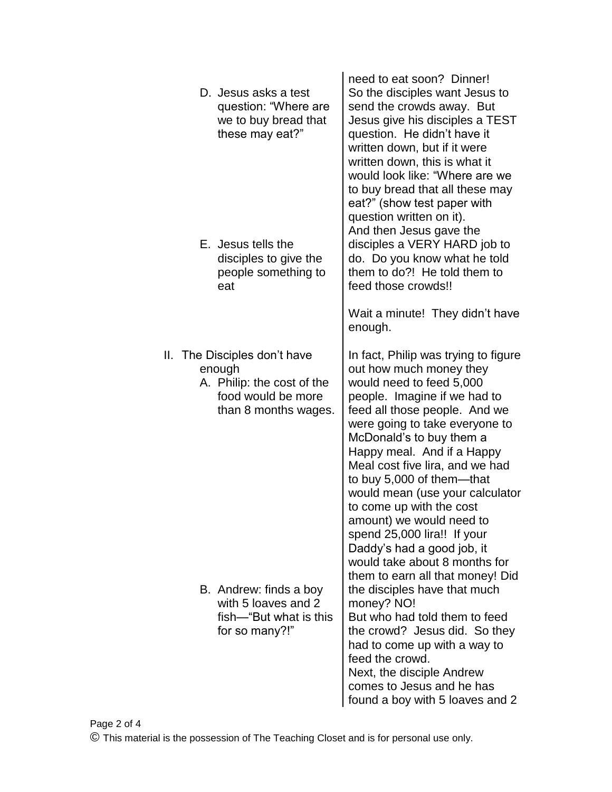| D. Jesus asks a test<br>question: "Where are<br>we to buy bread that<br>these may eat?"<br>E. Jesus tells the<br>disciples to give the<br>people something to<br>eat | need to eat soon? Dinner!<br>So the disciples want Jesus to<br>send the crowds away. But<br>Jesus give his disciples a TEST<br>question. He didn't have it<br>written down, but if it were<br>written down, this is what it<br>would look like: "Where are we<br>to buy bread that all these may<br>eat?" (show test paper with<br>question written on it).<br>And then Jesus gave the<br>disciples a VERY HARD job to<br>do. Do you know what he told<br>them to do?! He told them to<br>feed those crowds!!<br>Wait a minute! They didn't have<br>enough. |
|----------------------------------------------------------------------------------------------------------------------------------------------------------------------|-------------------------------------------------------------------------------------------------------------------------------------------------------------------------------------------------------------------------------------------------------------------------------------------------------------------------------------------------------------------------------------------------------------------------------------------------------------------------------------------------------------------------------------------------------------|
| II. The Disciples don't have<br>enough<br>A. Philip: the cost of the<br>food would be more<br>than 8 months wages.                                                   | In fact, Philip was trying to figure<br>out how much money they<br>would need to feed 5,000<br>people. Imagine if we had to<br>feed all those people. And we<br>were going to take everyone to<br>McDonald's to buy them a<br>Happy meal. And if a Happy<br>Meal cost five lira, and we had<br>to buy 5,000 of them-that<br>would mean (use your calculator<br>to come up with the cost<br>amount) we would need to<br>spend 25,000 lira!! If your<br>Daddy's had a good job, it<br>would take about 8 months for                                           |
| B. Andrew: finds a boy<br>with 5 loaves and 2<br>fish—"But what is this<br>for so many?!"                                                                            | them to earn all that money! Did<br>the disciples have that much<br>money? NO!<br>But who had told them to feed<br>the crowd? Jesus did. So they<br>had to come up with a way to<br>feed the crowd.<br>Next, the disciple Andrew<br>comes to Jesus and he has<br>found a boy with 5 loaves and 2                                                                                                                                                                                                                                                            |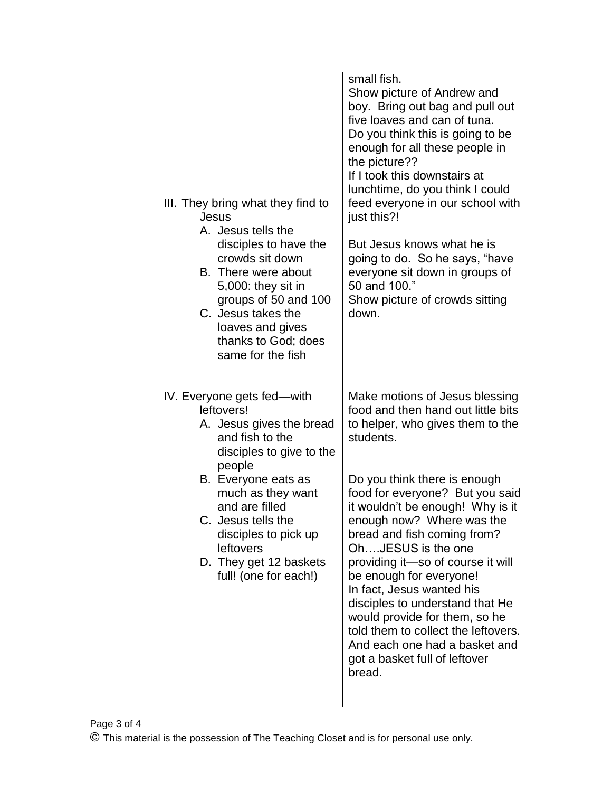| III. They bring what they find to<br>Jesus<br>A. Jesus tells the<br>disciples to have the<br>crowds sit down<br>B. There were about<br>5,000: they sit in<br>groups of 50 and 100<br>C. Jesus takes the<br>loaves and gives<br>thanks to God; does<br>same for the fish | small fish.<br>Show picture of Andrew and<br>boy. Bring out bag and pull out<br>five loaves and can of tuna.<br>Do you think this is going to be<br>enough for all these people in<br>the picture??<br>If I took this downstairs at<br>lunchtime, do you think I could<br>feed everyone in our school with<br>just this?!<br>But Jesus knows what he is<br>going to do. So he says, "have<br>everyone sit down in groups of<br>50 and 100."<br>Show picture of crowds sitting<br>down. |
|-------------------------------------------------------------------------------------------------------------------------------------------------------------------------------------------------------------------------------------------------------------------------|----------------------------------------------------------------------------------------------------------------------------------------------------------------------------------------------------------------------------------------------------------------------------------------------------------------------------------------------------------------------------------------------------------------------------------------------------------------------------------------|
| IV. Everyone gets fed—with<br>leftovers!<br>A. Jesus gives the bread<br>and fish to the<br>disciples to give to the<br>people                                                                                                                                           | Make motions of Jesus blessing<br>food and then hand out little bits<br>to helper, who gives them to the<br>students.                                                                                                                                                                                                                                                                                                                                                                  |
| B. Everyone eats as<br>much as they want<br>and are filled<br>C. Jesus tells the<br>disciples to pick up<br>leftovers<br>D. They get 12 baskets<br>full! (one for each!)                                                                                                | Do you think there is enough<br>food for everyone? But you said<br>it wouldn't be enough! Why is it<br>enough now? Where was the<br>bread and fish coming from?<br>OhJESUS is the one<br>providing it-so of course it will<br>be enough for everyone!<br>In fact, Jesus wanted his<br>disciples to understand that He<br>would provide for them, so he<br>told them to collect the leftovers.<br>And each one had a basket and<br>got a basket full of leftover<br>bread.              |